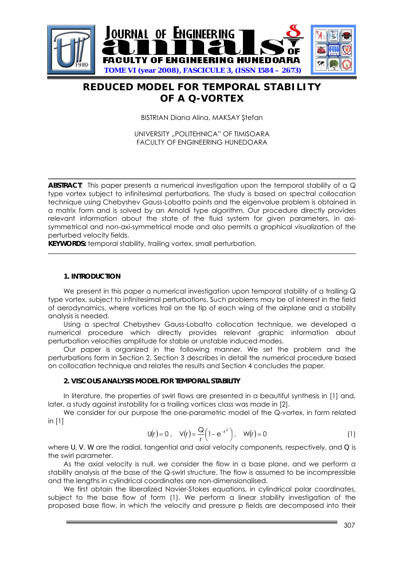

# **REDUCED MODEL FOR TEMPORAL STABILITY OF A Q-VORTEX**

BISTRIAN Diana Alina, MAKSAY Ştefan

UNIVERSITY "POLITEHNICA" OF TIMISOARA FACULTY OF ENGINEERING HUNEDOARA

ABSTRACT: This paper presents a numerical investigation upon the temporal stability of a Q type vortex subject to infinitesimal perturbations. The study is based on spectral collocation technique using Chebyshev Gauss-Lobatto points and the eigenvalue problem is obtained in a matrix form and is solved by an Arnoldi type algorithm. Our procedure directly provides relevant information about the state of the fluid system for given parameters, in axisymmetrical and non-axi-symmetrical mode and also permits a graphical visualization of the perturbed velocity fields.

**KEYWORDS:** temporal stability, trailing vortex, small perturbation.

#### **1. INTRODUCTION**

We present in this paper a numerical investigation upon temporal stability of a trailing Q type vortex, subject to infinitesimal perturbations. Such problems may be of interest in the field of aerodynamics, where vortices trail on the tip of each wing of the airplane and a stability analysis is needed.

Using a spectral Chebyshev Gauss-Lobatto collocation technique, we developed a numerical procedure which directly provides relevant graphic information about perturbation velocities amplitude for stable or unstable induced modes.

Our paper is organized in the following manner. We set the problem and the perturbations form in Section 2. Section 3 describes in detail the numerical procedure based on collocation technique and relates the results and Section 4 concludes the paper.

## **2. VISCOUS ANALYSIS MODEL FOR TEMPORAL STABILITY**

In literature, the properties of swirl flows are presented in a beautiful synthesis in [1] and, later, a study against instability for a trailing vortices class was made in [2].

We consider for our purpose the one-parametric model of the Q-vortex, in form related in [1]

$$
U(r) = 0, \quad V(r) = \frac{Q}{r} \left( 1 - e^{-r^2} \right), \quad W(r) = 0 \tag{1}
$$

where *U*, *V*, *W* are the radial, tangential and axial velocity components, respectively, and *Q* is the swirl parameter.

As the axial velocity is null, we consider the flow in a base plane, and we perform a stability analysis at the base of the Q-swirl structure. The flow is assumed to be incompressible and the lengths in cylindrical coordinates are non-dimensionalised.

We first obtain the liberalized Navier-Stokes equations, in cylindrical polar coordinates, subject to the base flow of form (1). We perform a linear stability investigation of the proposed base flow, in which the velocity and pressure p fields are decomposed into their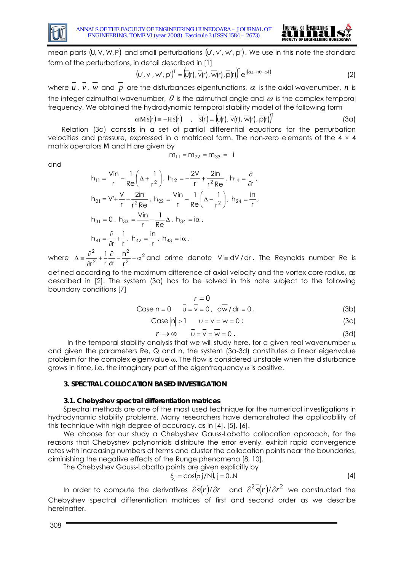

and



mean parts  $(U, V, W, P)$  and small perturbations  $(v', v', w', p')$ . We use in this note the standard form of the perturbations, in detail described in [1]

$$
(\mathbf{u}', \mathbf{v}', \mathbf{w}', \mathbf{p}')^{\mathsf{T}} = (\overline{\mathbf{u}}(\mathbf{r}), \overline{\mathbf{v}}(\mathbf{r}), \overline{\mathbf{w}}(\mathbf{r}), \overline{\mathbf{p}}(\mathbf{r}))^{\mathsf{T}} \mathbf{e}^{\mathsf{i}(\alpha z + n\theta - \omega t)}
$$
(2)

where  $u$  ,  $v$  ,  $w$  and  $p$  are the disturbances eigenfunctions,  $\alpha$  is the axial wavenumber,  $n$  is the integer azimuthal wavenumber,  $\theta$  is the azimuthal angle and  $\omega$  is the complex temporal frequency. We obtained the hydrodynamic temporal stability model of the following form

$$
\omega \overline{M} \overline{s}(r) = -H \overline{s}(r) \qquad , \quad \overline{s}(r) = (\overline{u}(r), \overline{v}(r), \overline{w}(r), \overline{p}(r))^{T}
$$
(3a)

Relation (3a) consists in a set of partial differential equations for the perturbation velocities and pressure, expressed in a matriceal form. The non-zero elements of the 4 × 4 matrix operators *M* and *H* are given by

$$
m_{11} = m_{22} = m_{33} = -i
$$

$$
h_{11} = \frac{V_{in}}{r} - \frac{1}{Re} \left( \Delta + \frac{1}{r^2} \right), \ h_{12} = -\frac{2V}{r} + \frac{2in}{r^2 Re}, \ h_{14} = \frac{\partial}{\partial r},
$$
  
\n
$$
h_{21} = V' + \frac{V}{r} - \frac{2in}{r^2 Re}, \ h_{22} = \frac{V_{in}}{r} - \frac{1}{Re} \left( \Delta - \frac{1}{r^2} \right), \ h_{24} = \frac{in}{r},
$$
  
\n
$$
h_{31} = 0, \ h_{33} = \frac{V_{in}}{r} - \frac{1}{Re} \Delta, \ h_{34} = i\alpha,
$$
  
\n
$$
h_{41} = \frac{\partial}{\partial r} + \frac{1}{r}, \ h_{42} = \frac{in}{r}, \ h_{43} = i\alpha,
$$
  
\n
$$
\frac{\partial^2}{\partial r^2} = 1, \ h_{43} = i\alpha.
$$

where  $\Delta = \frac{C}{2r^2} + \frac{1}{r} \frac{C}{\partial r} - \frac{11}{r^2} - \alpha^2$ 2 r n r ∂r 1 r  $\frac{\alpha}{\partial r} - \frac{11}{r^2} - \alpha$  $+\frac{1}{2}$ ∂  $\Delta = \frac{\partial^2}{\partial x^2} + \frac{1}{\partial y^2} - \frac{n^2}{\partial y^2} - \alpha^2$  and prime denote V'= dV/dr. The Reynolds number Re is

defined according to the maximum difference of axial velocity and the vortex core radius, as described in [2]. The system (3a) has to be solved in this note subject to the following boundary conditions [7]

Case n = 0 
$$
\overline{v} = 0
$$

$$
\overline{v} = \overline{v} = 0, \quad d\overline{w}/dr = 0,
$$
 (3b)

Case 
$$
|n| > 1
$$
  $\overline{u} = \overline{v} = \overline{w} = 0$  (3c)

$$
r \to \infty \qquad \frac{-}{U} = \frac{-}{V} = \frac{1}{W} = 0 \tag{3d}
$$

In the temporal stability analysis that we will study here, for a given real wavenumber  $\alpha$ and given the parameters Re, Q and n, the system (3a-3d) constitutes a linear eigenvalue problem for the complex eigenvalue ω. The flow is considered unstable when the disturbance grows in time, i.e. the imaginary part of the eigenfrequency ω is positive.

## **3. SPECTRAL COLLOCATION BASED INVESTIGATION**

## **3.1. Chebyshev spectral differentiation matrices**

Spectral methods are one of the most used technique for the numerical investigations in hydrodynamic stability problems. Many researchers have demonstrated the applicability of this technique with high degree of accuracy, as in [4], [5], [6].

We choose for our study a Chebyshev Gauss-Lobatto collocation approach, for the reasons that Chebyshev polynomials distribute the error evenly, exhibit rapid convergence rates with increasing numbers of terms and cluster the collocation points near the boundaries, diminishing the negative effects of the Runge phenomena [8, 10].

The Chebyshev Gauss-Lobatto points are given explicitly by

$$
\xi_j = \cos(\pi j/N), j = 0..N
$$
 (4)

In order to compute the derivatives  $\partial s(r)/\partial r$  and  $\partial^2 s(r)/\partial r^2$  we constructed the Chebyshev spectral differentiation matrices of first and second order as we describe hereinafter.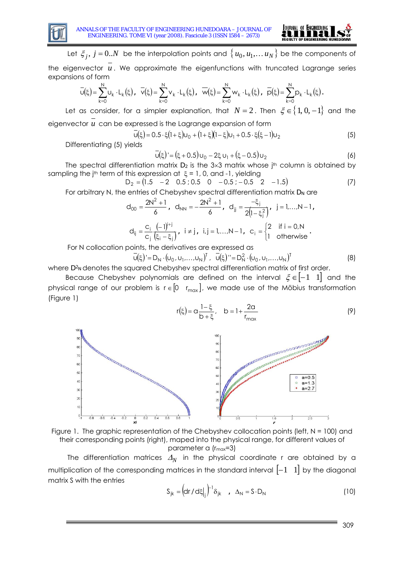



Let  $\xi_i$ ,  $j = 0..N$  be the interpolation points and  $\{u_0, u_1,... u_N\}$  be the components of

the eigenvector  $u$ . We approximate the eigenfunctions with truncated Lagrange series expansions of form

$$
\overline{U}(\xi) = \sum_{k=0}^N U_k \cdot L_k(\xi) \text{ , } \ \overline{V}(\xi) = \sum_{k=0}^N V_k \cdot L_k(\xi) \text{ , } \ \overline{W}(\xi) = \sum_{k=0}^N W_k \cdot L_k(\xi) \text{ , } \ \overline{p}(\xi) = \sum_{k=0}^N p_k \cdot L_k(\xi) \text{ .}
$$

Let as consider, for a simpler explanation, that  $N = 2$ . Then  $\xi \in \{1, 0, -1\}$  and the eigenvector *u* can be expressed is the Lagrange expansion of form

$$
\overline{U}(\xi) = 0.5 \cdot \xi (1 + \xi) U_0 + (1 + \xi)(1 - \xi) U_1 + 0.5 \cdot \xi (\xi - 1) U_2
$$
\n(5)

Differentiating (5) yields

$$
\overline{u}(\xi)' = (\xi + 0.5)u_0 - 2\xi u_1 + (\xi - 0.5)u_2
$$
 (6)

The spectral differentiation matrix  $D_2$  is the 3×3 matrix whose j<sup>th</sup> column is obtained by sampling the j<sup>th</sup> term of this expression at  $\xi = 1$ , 0, and -1, yielding

$$
D_2 = (1.5 - 2 \quad 0.5 \; ; \; 0.5 \quad 0 \quad -0.5 \; ; \; -0.5 \quad 2 \quad -1.5) \tag{7}
$$

For arbitrary N, the entries of Chebyshev spectral differentiation matrix  $D_N$  are

$$
d_{00} = \frac{2N^2 + 1}{6}, \quad d_{NN} = -\frac{2N^2 + 1}{6}, \quad d_{jj} = \frac{-\xi_j}{2(l - \xi_j^2)}, \quad j = l, \dots, N - 1,
$$

$$
d_{ij} = \frac{c_i}{c_j} \frac{(-1)^{i+j}}{(\xi_i - \xi_j)}, \quad i \neq j, \quad i, j = l, \dots, N - 1, \quad c_i = \begin{cases} 2 & \text{if } i = 0, N \\ 1 & \text{otherwise} \end{cases}.
$$

For N collocation points, the derivatives are expressed as

$$
\bar{u}(\xi) = D_N \cdot (u_0, u_1, \dots, u_N)^T, \quad \bar{u}(\xi) = D_N^2 \cdot (u_0, u_1, \dots, u_N)^T
$$
(8)

where *D*<sup>2</sup><sub>N</sub> denotes the squared Chebyshev spectral differentiation matrix of first order.

Because Chebyshev polynomials are defined on the interval  $\xi \in [-1 \ 1]$  and the physical range of our problem is  $r \in [0 \ r_{max}]$ , we made use of the Möbius transformation (Figure 1)

$$
r(\xi) = \alpha \frac{1 - \xi}{b + \xi}, \quad b = 1 + \frac{2\alpha}{r_{max}}
$$
 (9)





The differentiation matrices  $\Delta_N$  in the physical coordinate r are obtained by a multiplication of the corresponding matrices in the standard interval  $\begin{bmatrix} -1 & 1 \end{bmatrix}$  by the diagonal matrix S with the entries

$$
S_{jk} = (dr/d\xi|_{j})^{-1}\delta_{jk} \quad , \quad \Delta_N = S \cdot D_N \tag{10}
$$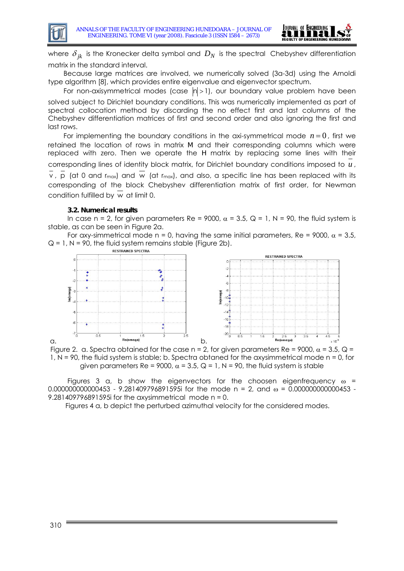

where  $\delta_{jk}$  is the Kronecker delta symbol and  $D_N$  is the spectral Chebyshev differentiation matrix in the standard interval.

Because large matrices are involved, we numerically solved (3a-3d) using the Arnoldi type algorithm [8], which provides entire eigenvalue and eigenvector spectrum.

For non-axisymmetrical modes (case  $|n| > 1$ ), our boundary value problem have been solved subject to Dirichlet boundary conditions. This was numerically implemented as part of spectral collocation method by discarding the no effect first and last columns of the Chebyshev differentiation matrices of first and second order and also ignoring the first and last rows.

For implementing the boundary conditions in the axi-symmetrical mode  $n = 0$ , first we retained the location of rows in matrix *M* and their corresponding columns which were replaced with zero. Then we operate the *H* matrix by replacing some lines with their corresponding lines of identity block matrix, for Dirichlet boundary conditions imposed to *u* ,  $\overline{v}$ ,  $\overline{p}$  (at 0 and r<sub>max</sub>) and  $\overline{w}$  (at r<sub>max</sub>), and also, a specific line has been replaced with its corresponding of the block Chebyshev differentiation matrix of first order, for Newman condition fulfilled by  $\overline{w}$  at limit 0.

## **3.2. Numerical results**

In case n = 2, for given parameters Re = 9000,  $\alpha$  = 3.5, Q = 1, N = 90, the fluid system is stable, as can be seen in Figure 2a.

For axy-simmetrical mode n = 0, having the same initial parameters, Re =  $9000$ ,  $\alpha$  = 3.5,  $Q = 1$ ,  $N = 90$ , the fluid system remains stable (Figure 2b).



Figure 2. a. Spectra obtained for the case n = 2, for given parameters Re = 9000,  $\alpha$  = 3.5, Q = 1, N = 90, the fluid system is stable; b. Spectra obtaned for the axysimmetrical mode n = 0, for given parameters Re = 9000,  $\alpha$  = 3.5, Q = 1, N = 90, the fluid system is stable

Figures 3 a, b show the eigenvectors for the choosen eigenfrequency  $\omega$  = 0.000000000000453 - 9.281409796891595i for the mode n = 2, and  $\omega$  = 0.000000000000453 -9.281409796891595i for the axysimmetrical mode  $n = 0$ .

Figures 4 a, b depict the perturbed azimuthal velocity for the considered modes.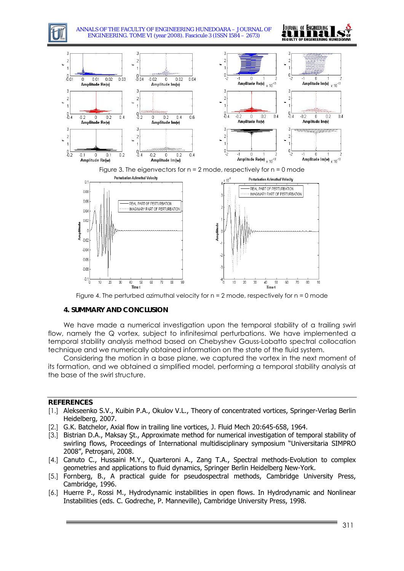

 $-0.08$  $-0.1\frac{1}{0}$  $\overline{20}$  $\overline{70}$ 80  $10$  $80$ 40 50 60 20 70 90 -30 -30 40 50 60 Figure 4. The perturbed azimuthal velocity for  $n = 2$  mode, respectively for  $n = 0$  mode

## **4. SUMMARY AND CONCLUSION**

We have made a numerical investigation upon the temporal stability of a trailing swirl flow, namely the Q vortex, subject to infinitesimal perturbations. We have implemented a temporal stability analysis method based on Chebyshev Gauss-Lobatto spectral collocation technique and we numerically obtained information on the state of the fluid system.

Considering the motion in a base plane, we captured the vortex in the next moment of its formation, and we obtained a simplified model, performing a temporal stability analysis at the base of the swirl structure.

#### **REFERENCES**

- [1.] Alekseenko S.V., Kuibin P.A., Okulov V.L., Theory of concentrated vortices, Springer-Verlag Berlin Heidelberg, 2007.
- [2.] G.K. Batchelor, Axial flow in trailing line vortices, J. Fluid Mech 20:645-658, 1964.
- [3.] Bistrian D.A., Maksay St., Approximate method for numerical investigation of temporal stability of swirling flows, Proceedings of International multidisciplinary symposium "Universitaria SIMPRO 2008", Petroşani, 2008.
- [4.] Canuto C., Hussaini M.Y., Quarteroni A., Zang T.A., Spectral methods-Evolution to complex geometries and applications to fluid dynamics, Springer Berlin Heidelberg New-York.
- [5.] Fornberg, B., A practical guide for pseudospectral methods, Cambridge University Press, Cambridge, 1996.
- [6.] Huerre P., Rossi M., Hydrodynamic instabilities in open flows. In Hydrodynamic and Nonlinear Instabilities (eds. C. Godreche, P. Manneville), Cambridge University Press, 1998.